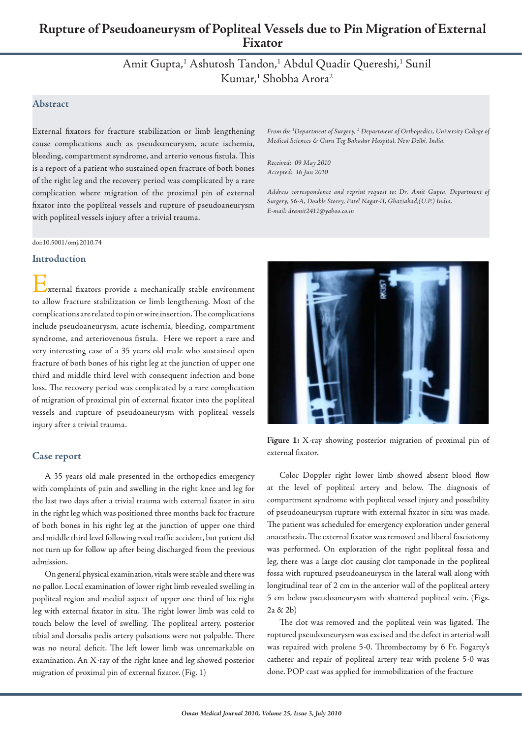# **Rupture of Pseudoaneurysm of Popliteal Vessels due to Pin Migration of External Fixator**

## Amit Gupta,<sup>1</sup> Ashutosh Tandon,<sup>1</sup> Abdul Quadir Quereshi,<sup>1</sup> Sunil Kumar,<sup>1</sup> Shobha Arora<sup>2</sup>

## **Abstract**

External fixators for fracture stabilization or limb lengthening cause complications such as pseudoaneurysm, acute ischemia, bleeding, compartment syndrome, and arterio venous fistula. This is a report of a patient who sustained open fracture of both bones of the right leg and the recovery period was complicated by a rare complication where migration of the proximal pin of external fixator into the popliteal vessels and rupture of pseudoaneurysm with popliteal vessels injury after a trivial trauma.

#### doi:10.5001/omj.2010.74

### **Introduction**

External fixators provide a mechanically stable environment to allow fracture stabilization or limb lengthening. Most of the complications are related to pin or wire insertion. The complications include pseudoaneurysm, acute ischemia, bleeding, compartment syndrome, and arteriovenous fistula. Here we report a rare and very interesting case of a 35 years old male who sustained open fracture of both bones of his right leg at the junction of upper one third and middle third level with consequent infection and bone loss. The recovery period was complicated by a rare complication of migration of proximal pin of external fixator into the popliteal vessels and rupture of pseudoaneurysm with popliteal vessels injury after a trivial trauma.

#### **Case report**

A 35 years old male presented in the orthopedics emergency with complaints of pain and swelling in the right knee and leg for the last two days after a trivial trauma with external fixator in situ in the right leg which was positioned three months back for fracture of both bones in his right leg at the junction of upper one third and middle third level following road traffic accident, but patient did not turn up for follow up after being discharged from the previous admission.

On general physical examination, vitals were stable and there was no pallor. Local examination of lower right limb revealed swelling in popliteal region and medial aspect of upper one third of his right leg with external fixator in situ. The right lower limb was cold to touch below the level of swelling. The popliteal artery, posterior tibial and dorsalis pedis artery pulsations were not palpable. There was no neural deficit. The left lower limb was unremarkable on examination. An X-ray of the right knee **a**nd leg showed posterior migration of proximal pin of external fixator. (Fig. 1)

*From the 1 Department of Surgery, 2 Department of Orthopedics, University College of Medical Sciences & Guru Teg Bahadur Hospital, New Delhi, India.*

*Received: 09 May 2010 Accepted: 16 Jun 2010*

*Address correspondence and reprint request to: Dr. Amit Gupta, Department of Surgery, 56-A, Double Storey, Patel Nagar-II, Ghaziabad,(U.P.) India. E-mail: dramit2411@yahoo.co.in*



**Figure 1:** X-ray showing posterior migration of proximal pin of external fixator.

Color Doppler right lower limb showed absent blood flow at the level of popliteal artery and below. The diagnosis of compartment syndrome with popliteal vessel injury and possibility of pseudoaneurysm rupture with external fixator in situ was made. The patient was scheduled for emergency exploration under general anaesthesia. The external fixator was removed and liberal fasciotomy was performed. On exploration of the right popliteal fossa and leg, there was a large clot causing clot tamponade in the popliteal fossa with ruptured pseudoaneurysm in the lateral wall along with longitudinal tear of 2 cm in the anterior wall of the popliteal artery 5 cm below pseudoaneurysm with shattered popliteal vein. (Figs. 2a & 2b)

The clot was removed and the popliteal vein was ligated. The ruptured pseudoaneurysm was excised and the defect in arterial wall was repaired with prolene 5-0. Thrombectomy by 6 Fr. Fogarty's catheter and repair of popliteal artery tear with prolene 5-0 was done. POP cast was applied for immobilization of the fracture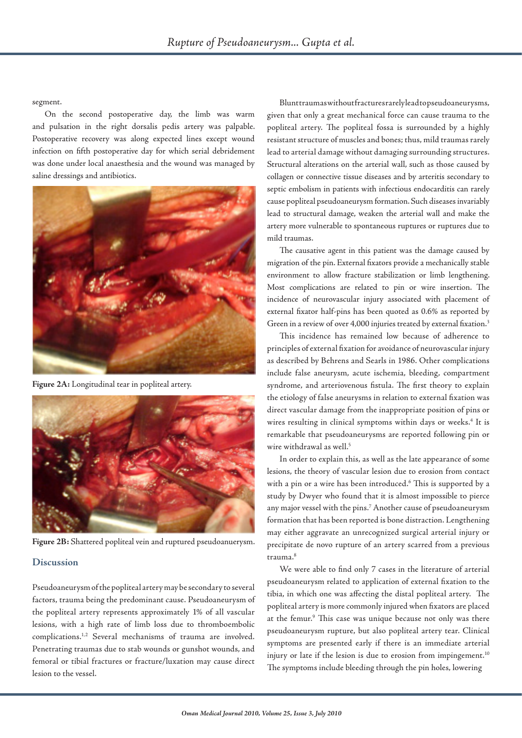segment.

On the second postoperative day, the limb was warm and pulsation in the right dorsalis pedis artery was palpable. Postoperative recovery was along expected lines except wound infection on fifth postoperative day for which serial debridement was done under local anaesthesia and the wound was managed by saline dressings and antibiotics.



**Figure 2A:** Longitudinal tear in popliteal artery.



**Figure 2B:** Shattered popliteal vein and ruptured pseudoanuerysm.

## **Discussion**

Pseudoaneurysm of the popliteal artery may be secondary to several factors, trauma being the predominant cause. Pseudoaneurysm of the popliteal artery represents approximately 1% of all vascular lesions, with a high rate of limb loss due to thromboembolic complications.1,2 Several mechanisms of trauma are involved. Penetrating traumas due to stab wounds or gunshot wounds, and femoral or tibial fractures or fracture/luxation may cause direct lesion to the vessel.

Blunt traumas without fractures rarely lead to pseudoaneurysms, given that only a great mechanical force can cause trauma to the popliteal artery. The popliteal fossa is surrounded by a highly resistant structure of muscles and bones; thus, mild traumas rarely lead to arterial damage without damaging surrounding structures. Structural alterations on the arterial wall, such as those caused by collagen or connective tissue diseases and by arteritis secondary to septic embolism in patients with infectious endocarditis can rarely cause popliteal pseudoaneurysm formation. Such diseases invariably lead to structural damage, weaken the arterial wall and make the artery more vulnerable to spontaneous ruptures or ruptures due to mild traumas.

The causative agent in this patient was the damage caused by migration of the pin. External fixators provide a mechanically stable environment to allow fracture stabilization or limb lengthening. Most complications are related to pin or wire insertion. The incidence of neurovascular injury associated with placement of external fixator half-pins has been quoted as 0.6% as reported by Green in a review of over 4,000 injuries treated by external fixation.<sup>3</sup>

This incidence has remained low because of adherence to principles of external fixation for avoidance of neurovascular injury as described by Behrens and Searls in 1986. Other complications include false aneurysm, acute ischemia, bleeding, compartment syndrome, and arteriovenous fistula. The first theory to explain the etiology of false aneurysms in relation to external fixation was direct vascular damage from the inappropriate position of pins or wires resulting in clinical symptoms within days or weeks.<sup>4</sup> It is remarkable that pseudoaneurysms are reported following pin or wire withdrawal as well.<sup>5</sup>

In order to explain this, as well as the late appearance of some lesions, the theory of vascular lesion due to erosion from contact with a pin or a wire has been introduced.<sup>6</sup> This is supported by a study by Dwyer who found that it is almost impossible to pierce any major vessel with the pins.<sup>7</sup> Another cause of pseudoaneurysm formation that has been reported is bone distraction. Lengthening may either aggravate an unrecognized surgical arterial injury or precipitate de novo rupture of an artery scarred from a previous trauma.8

We were able to find only 7 cases in the literature of arterial pseudoaneurysm related to application of external fixation to the tibia, in which one was affecting the distal popliteal artery. The popliteal artery is more commonly injured when fixators are placed at the femur.<sup>9</sup> This case was unique because not only was there pseudoaneurysm rupture, but also popliteal artery tear. Clinical symptoms are presented early if there is an immediate arterial injury or late if the lesion is due to erosion from impingement.<sup>10</sup> The symptoms include bleeding through the pin holes, lowering